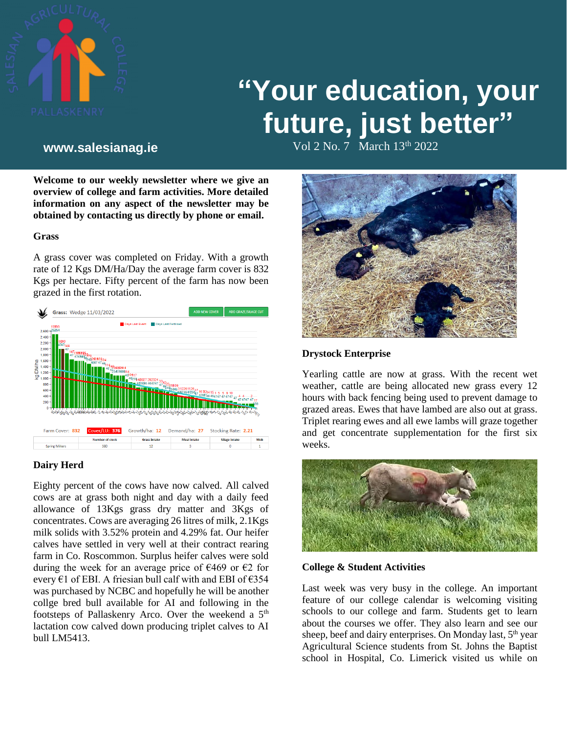

# **"Your education, your future, just better"**

Vol 2 No. 7 March 13th **www.salesianag.ie** 2022

**Welcome to our weekly newsletter where we give an overview of college and farm activities. More detailed information on any aspect of the newsletter may be obtained by contacting us directly by phone or email.**

#### **Grass**

A grass cover was completed on Friday. With a growth rate of 12 Kgs DM/Ha/Day the average farm cover is 832 Kgs per hectare. Fifty percent of the farm has now been grazed in the first rotation.



#### **Dairy Herd**

Eighty percent of the cows have now calved. All calved cows are at grass both night and day with a daily feed allowance of 13Kgs grass dry matter and 3Kgs of concentrates. Cows are averaging 26 litres of milk, 2.1Kgs milk solids with 3.52% protein and 4.29% fat. Our heifer calves have settled in very well at their contract rearing farm in Co. Roscommon. Surplus heifer calves were sold during the week for an average price of  $\epsilon$ 469 or  $\epsilon$ 2 for every  $\epsilon$ 1 of EBI. A friesian bull calf with and EBI of  $\epsilon$ 354 was purchased by NCBC and hopefully he will be another collge bred bull available for AI and following in the footsteps of Pallaskenry Arco. Over the weekend a 5<sup>th</sup> lactation cow calved down producing triplet calves to AI bull LM5413.



### **Drystock Enterprise**

Yearling cattle are now at grass. With the recent wet weather, cattle are being allocated new grass every 12 hours with back fencing being used to prevent damage to grazed areas. Ewes that have lambed are also out at grass. Triplet rearing ewes and all ewe lambs will graze together and get concentrate supplementation for the first six weeks.



#### **College & Student Activities**

Last week was very busy in the college. An important feature of our college calendar is welcoming visiting schools to our college and farm. Students get to learn about the courses we offer. They also learn and see our sheep, beef and dairy enterprises. On Monday last, 5<sup>th</sup> year Agricultural Science students from St. Johns the Baptist school in Hospital, Co. Limerick visited us while on